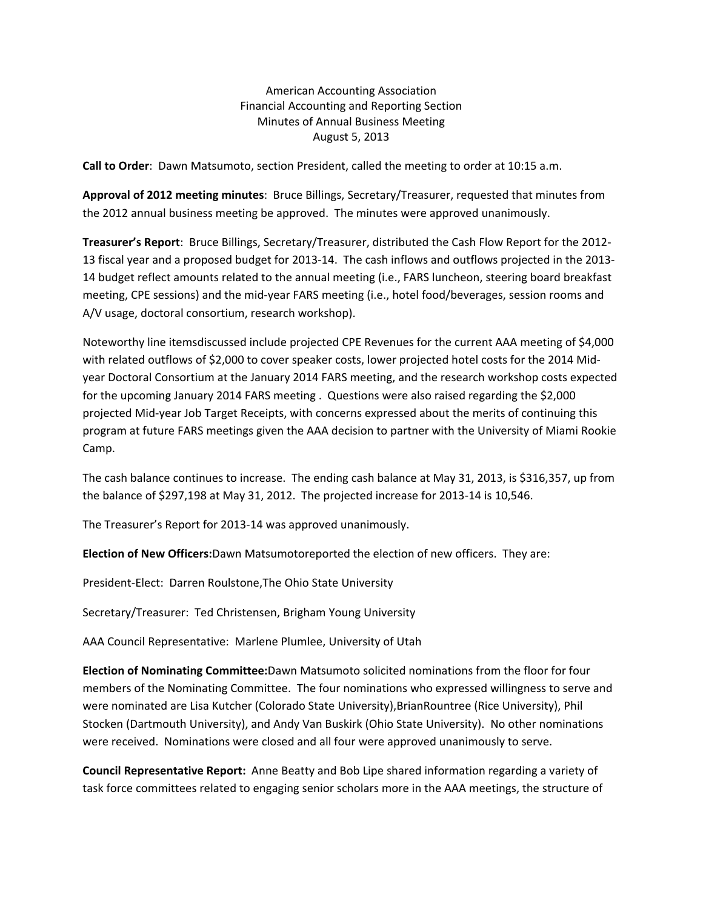American Accounting Association Financial Accounting and Reporting Section Minutes of Annual Business Meeting August 5, 2013

**Call to Order**: Dawn Matsumoto, section President, called the meeting to order at 10:15 a.m.

**Approval of 2012 meeting minutes**: Bruce Billings, Secretary/Treasurer, requested that minutes from the 2012 annual business meeting be approved. The minutes were approved unanimously.

**Treasurer's Report**: Bruce Billings, Secretary/Treasurer, distributed the Cash Flow Report for the 2012‐ 13 fiscal year and a proposed budget for 2013‐14. The cash inflows and outflows projected in the 2013‐ 14 budget reflect amounts related to the annual meeting (i.e., FARS luncheon, steering board breakfast meeting, CPE sessions) and the mid‐year FARS meeting (i.e., hotel food/beverages, session rooms and A/V usage, doctoral consortium, research workshop).

Noteworthy line itemsdiscussed include projected CPE Revenues for the current AAA meeting of \$4,000 with related outflows of \$2,000 to cover speaker costs, lower projected hotel costs for the 2014 Mid‐ year Doctoral Consortium at the January 2014 FARS meeting, and the research workshop costs expected for the upcoming January 2014 FARS meeting . Questions were also raised regarding the \$2,000 projected Mid‐year Job Target Receipts, with concerns expressed about the merits of continuing this program at future FARS meetings given the AAA decision to partner with the University of Miami Rookie Camp.

The cash balance continues to increase. The ending cash balance at May 31, 2013, is \$316,357, up from the balance of \$297,198 at May 31, 2012. The projected increase for 2013‐14 is 10,546.

The Treasurer's Report for 2013‐14 was approved unanimously.

**Election of New Officers:**Dawn Matsumotoreported the election of new officers. They are:

President‐Elect: Darren Roulstone,The Ohio State University

Secretary/Treasurer: Ted Christensen, Brigham Young University

AAA Council Representative: Marlene Plumlee, University of Utah

**Election of Nominating Committee:**Dawn Matsumoto solicited nominations from the floor for four members of the Nominating Committee. The four nominations who expressed willingness to serve and were nominated are Lisa Kutcher (Colorado State University), BrianRountree (Rice University), Phil Stocken (Dartmouth University), and Andy Van Buskirk (Ohio State University). No other nominations were received. Nominations were closed and all four were approved unanimously to serve.

**Council Representative Report:** Anne Beatty and Bob Lipe shared information regarding a variety of task force committees related to engaging senior scholars more in the AAA meetings, the structure of